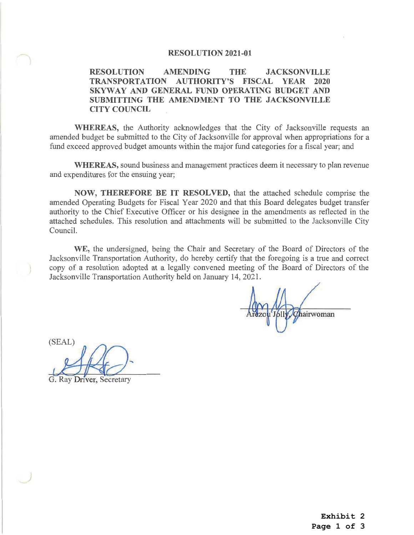## **RESOLUTION 2021-01**

## **RESOLUTION JACKSONVILLE AMENDING THE TRANSPORTATION AUTHORITY'S FISCAL YEAR 2020** SKYWAY AND GENERAL FUND OPERATING BUDGET AND SUBMITTING THE AMENDMENT TO THE JACKSONVILLE **CITY COUNCIL**

WHEREAS, the Authority acknowledges that the City of Jacksonville requests an amended budget be submitted to the City of Jacksonville for approval when appropriations for a fund exceed approved budget amounts within the major fund categories for a fiscal year; and

**WHEREAS, sound business and management practices deem it necessary to plan revenue** and expenditures for the ensuing year;

NOW, THEREFORE BE IT RESOLVED, that the attached schedule comprise the amended Operating Budgets for Fiscal Year 2020 and that this Board delegates budget transfer authority to the Chief Executive Officer or his designee in the amendments as reflected in the attached schedules. This resolution and attachments will be submitted to the Jacksonville City Council.

WE, the undersigned, being the Chair and Secretary of the Board of Directors of the Jacksonville Transportation Authority, do hereby certify that the foregoing is a true and correct copy of a resolution adopted at a legally convened meeting of the Board of Directors of the Jacksonville Transportation Authority held on January 14, 2021.

Chairwoman

(SEAL)

**Ray Driver, Secretary** 

Exhibit 2 Page 1 of 3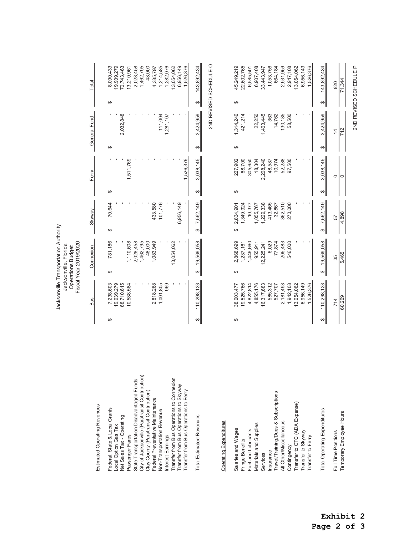|                                                                                                                                                                                                                                                                                                                                                                                                                                                                       |        |                                                                                                                                                                                          | Jacksonville Transportation Authority<br>Fiscal Year 2019/2020<br>Jacksonville, Florida<br><b>Operations Budget</b>                                                       |                                                                                                                                                                   |               |                                                                                                                          |                          |                                                                                                |                              |                                                                                                                                                                                                   |
|-----------------------------------------------------------------------------------------------------------------------------------------------------------------------------------------------------------------------------------------------------------------------------------------------------------------------------------------------------------------------------------------------------------------------------------------------------------------------|--------|------------------------------------------------------------------------------------------------------------------------------------------------------------------------------------------|---------------------------------------------------------------------------------------------------------------------------------------------------------------------------|-------------------------------------------------------------------------------------------------------------------------------------------------------------------|---------------|--------------------------------------------------------------------------------------------------------------------------|--------------------------|------------------------------------------------------------------------------------------------|------------------------------|---------------------------------------------------------------------------------------------------------------------------------------------------------------------------------------------------|
| Estimated Operating Revenues                                                                                                                                                                                                                                                                                                                                                                                                                                          |        | <b>Bus</b>                                                                                                                                                                               | Connexion                                                                                                                                                                 | Skyway                                                                                                                                                            |               | Ferry                                                                                                                    | General Fund             |                                                                                                |                              | Total                                                                                                                                                                                             |
| City of Jacksonville (Paratransit Contribution)<br>Transfer from Bus Operations to Connexion<br>State Transportation Disadvantaged Funds<br>Transfer from Bus Operations to Skyway<br>Transfer from Bus Operations to Ferry<br>Clay County (Paratransit Contribution)<br>Federal Preventative Maintenance<br>Federal, State & Local Grants<br>Non-Transportation Revenue<br>Net Sales Tax - Operating<br>Local Option Gas Tax<br>Passenger Fares<br>Interest Earnings | ↔      | 68,710,615<br>2,818,268<br>1,001,805<br>969<br>19,939,279<br>10,588,584<br>7,238,603                                                                                                     | 1,083,949<br>13,054,062<br>781,186<br>1,110,608<br>2,028,458<br>1,462,795<br>48,000<br>$\Theta$                                                                           | 6,956,149<br>433,580<br>101,776<br>70,644<br>↔                                                                                                                    | ↔             | 1,511,769<br>1,526,376                                                                                                   | ↔                        | 111,004<br>2,032,848<br>1,281,107                                                              | ↔                            | 1,214,585<br>1,282,076<br>6,956,149<br>8,090,433<br>19,939,279<br>70,743,463<br>2,028,458<br>1,462,795<br>48,000<br>13,054,062<br>1,526,376<br>13,210,961<br>4,335,797                            |
| <b>Total Estimated Revenues</b>                                                                                                                                                                                                                                                                                                                                                                                                                                       | ↔      | 110,298,123                                                                                                                                                                              | 19,569,058<br>↔                                                                                                                                                           | 7,562,149<br>↔                                                                                                                                                    | ↮             | 3,038,145                                                                                                                | ↔                        | 3,424,959                                                                                      | $\boldsymbol{\varphi}$       | 2ND REVISED SCHEDULE O<br>143,892,434                                                                                                                                                             |
| <b>Operating Expenditures</b>                                                                                                                                                                                                                                                                                                                                                                                                                                         |        |                                                                                                                                                                                          |                                                                                                                                                                           |                                                                                                                                                                   |               |                                                                                                                          |                          |                                                                                                |                              |                                                                                                                                                                                                   |
| Travel/Training/Dues & Subscriptions<br>Transfer to CTC (ADA Expense)<br>Total Operating Expenditures<br>Temporary Employee Hours<br>All Other/Miscellaneous<br>Materials and Supplies<br>Salaries and Wages<br>Fuel and Lubricants<br>Transfer to Skyway<br>Full Time Positions<br>Transfer to Ferry<br>Fringe Benefits<br>Contingency<br>Insurance<br>Services                                                                                                      | ↔<br>↮ | 110,298,123<br>19,525,766<br>4,822,814<br>4,855,176<br>16,317,683<br>585,312<br>2,181,493<br>1,942,108<br>13,054,062<br>6,956,149<br>1,526,376<br>38,003,477<br>527,707<br>60,269<br>714 | 2,868,699<br>19,569,058<br>6,029<br>77,874<br>205,483<br>546,000<br>1,446,660<br>1,237,161<br>955,911<br>12,225,241<br>$\frac{35}{5,465}$<br>$\qquad \qquad \varphi$<br>↔ | 1,229,338<br>413,465<br>362,510<br>273,000<br>7,562,149<br>1,349,924<br>32,867<br>2,834,901<br>1,055,767<br>10,377<br>4,898<br>57<br>↔<br>$\qquad \qquad \varphi$ | ↮<br>$\Theta$ | 68,700<br>3,038,145<br>227,902<br>305,650<br>2,208,240<br>10,974<br>52,288<br>97,500<br>18,304<br>48,587<br>ା<br>$\circ$ | $\overline{4}$<br>↔<br>↮ | 1,314,240<br>130,185<br>22,250<br>1,463,445<br>363<br>14,762<br>58,500<br>3,424,959<br>421,214 | ↔<br>$\leftrightarrow$<br>II | 6,956,149<br>1,526,376<br>45,249,219<br>22,602,765<br>6,907,408<br>1,053,756<br>2,931,959<br>2,917,108<br>13,054,062<br>664,184<br>143,892,434<br>6,585,501<br>33,443,947<br>$\frac{820}{71,344}$ |
|                                                                                                                                                                                                                                                                                                                                                                                                                                                                       |        |                                                                                                                                                                                          |                                                                                                                                                                           |                                                                                                                                                                   |               |                                                                                                                          |                          |                                                                                                |                              | 2ND REVISED SCHEDULE P                                                                                                                                                                            |

**Exhibit 2**